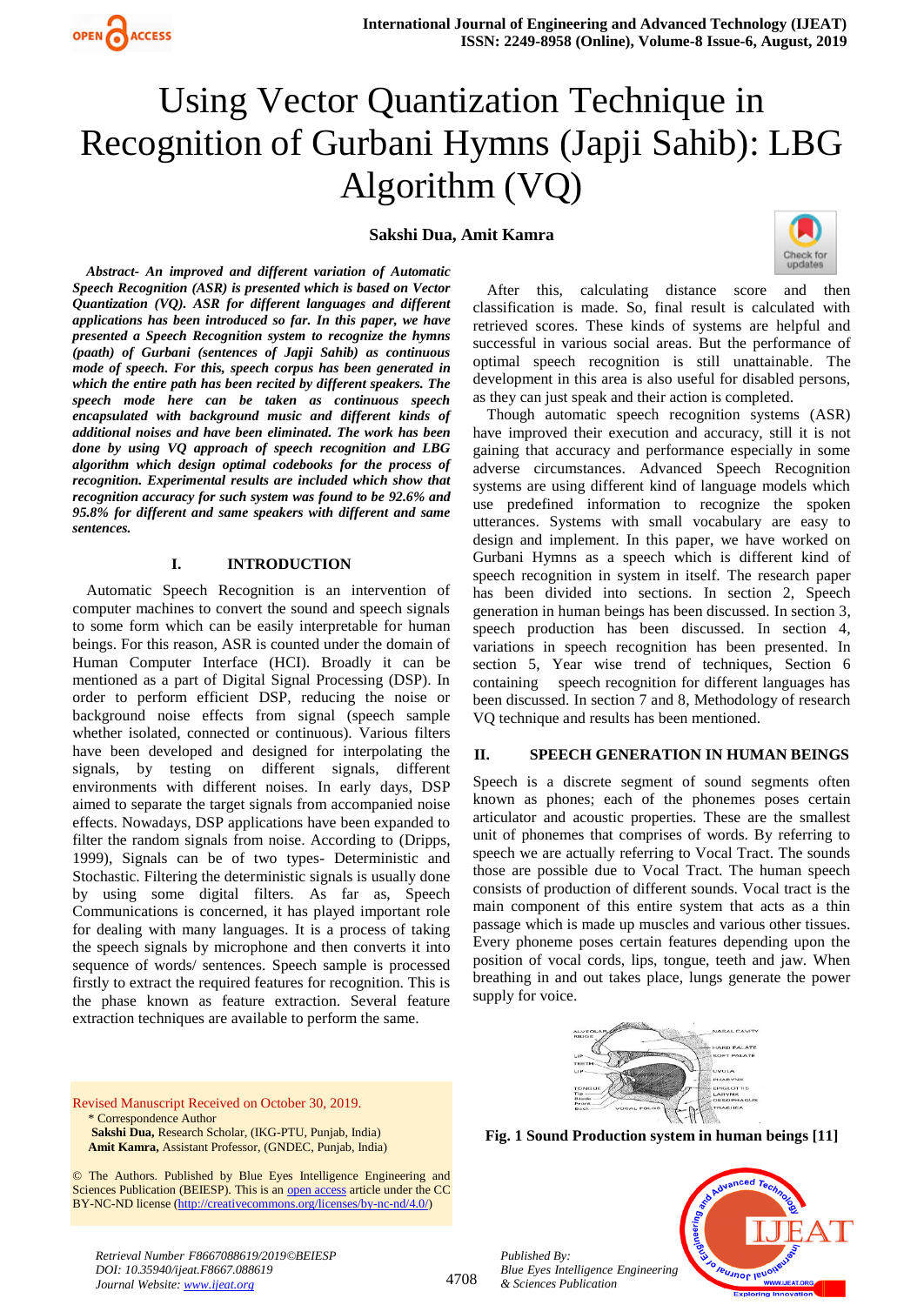

## **Sakshi Dua, Amit Kamra**



*Abstract- An improved and different variation of Automatic Speech Recognition (ASR) is presented which is based on Vector Quantization (VQ). ASR for different languages and different applications has been introduced so far. In this paper, we have presented a Speech Recognition system to recognize the hymns (paath) of Gurbani (sentences of Japji Sahib) as continuous mode of speech. For this, speech corpus has been generated in which the entire path has been recited by different speakers. The speech mode here can be taken as continuous speech encapsulated with background music and different kinds of additional noises and have been eliminated. The work has been done by using VQ approach of speech recognition and LBG algorithm which design optimal codebooks for the process of recognition. Experimental results are included which show that recognition accuracy for such system was found to be 92.6% and 95.8% for different and same speakers with different and same sentences.* 

#### **I. INTRODUCTION**

Automatic Speech Recognition is an intervention of computer machines to convert the sound and speech signals to some form which can be easily interpretable for human beings. For this reason, ASR is counted under the domain of Human Computer Interface (HCI). Broadly it can be mentioned as a part of Digital Signal Processing (DSP). In order to perform efficient DSP, reducing the noise or background noise effects from signal (speech sample whether isolated, connected or continuous). Various filters have been developed and designed for interpolating the signals, by testing on different signals, different environments with different noises. In early days, DSP aimed to separate the target signals from accompanied noise effects. Nowadays, DSP applications have been expanded to filter the random signals from noise. According to (Dripps, 1999), Signals can be of two types- Deterministic and Stochastic. Filtering the deterministic signals is usually done by using some digital filters. As far as, Speech Communications is concerned, it has played important role for dealing with many languages. It is a process of taking the speech signals by microphone and then converts it into sequence of words/ sentences. Speech sample is processed firstly to extract the required features for recognition. This is the phase known as feature extraction. Several feature extraction techniques are available to perform the same.

After this, calculating distance score and then classification is made. So, final result is calculated with retrieved scores. These kinds of systems are helpful and successful in various social areas. But the performance of optimal speech recognition is still unattainable. The development in this area is also useful for disabled persons, as they can just speak and their action is completed.

Though automatic speech recognition systems (ASR) have improved their execution and accuracy, still it is not gaining that accuracy and performance especially in some adverse circumstances. Advanced Speech Recognition systems are using different kind of language models which use predefined information to recognize the spoken utterances. Systems with small vocabulary are easy to design and implement. In this paper, we have worked on Gurbani Hymns as a speech which is different kind of speech recognition in system in itself. The research paper has been divided into sections. In section 2, Speech generation in human beings has been discussed. In section 3, speech production has been discussed. In section 4, variations in speech recognition has been presented. In section 5, Year wise trend of techniques, Section 6 containing speech recognition for different languages has been discussed. In section 7 and 8, Methodology of research VQ technique and results has been mentioned.

#### **II. SPEECH GENERATION IN HUMAN BEINGS**

Speech is a discrete segment of sound segments often known as phones; each of the phonemes poses certain articulator and acoustic properties. These are the smallest unit of phonemes that comprises of words. By referring to speech we are actually referring to Vocal Tract. The sounds those are possible due to Vocal Tract. The human speech consists of production of different sounds. Vocal tract is the main component of this entire system that acts as a thin passage which is made up muscles and various other tissues. Every phoneme poses certain features depending upon the position of vocal cords, lips, tongue, teeth and jaw. When breathing in and out takes place, lungs generate the power supply for voice.



**Fig. 1 Sound Production system in human beings [11]**

Revised Manuscript Received on October 30, 2019. \* Correspondence Author **Sakshi Dua,** Research Scholar, (IKG-PTU, Punjab, India) **Amit Kamra,** Assistant Professor, (GNDEC, Punjab, India)

© The Authors. Published by Blue Eyes Intelligence Engineering and Sciences Publication (BEIESP). This is an [open access](https://www.openaccess.nl/en/open-publications) article under the CC BY-NC-ND license [\(http://creativecommons.org/licenses/by-nc-nd/4.0/\)](http://creativecommons.org/licenses/by-nc-nd/4.0/)

*Retrieval Number F8667088619/2019©BEIESP DOI: 10.35940/ijeat.F8667.088619 Journal Website: www.ijeat.org*

4708



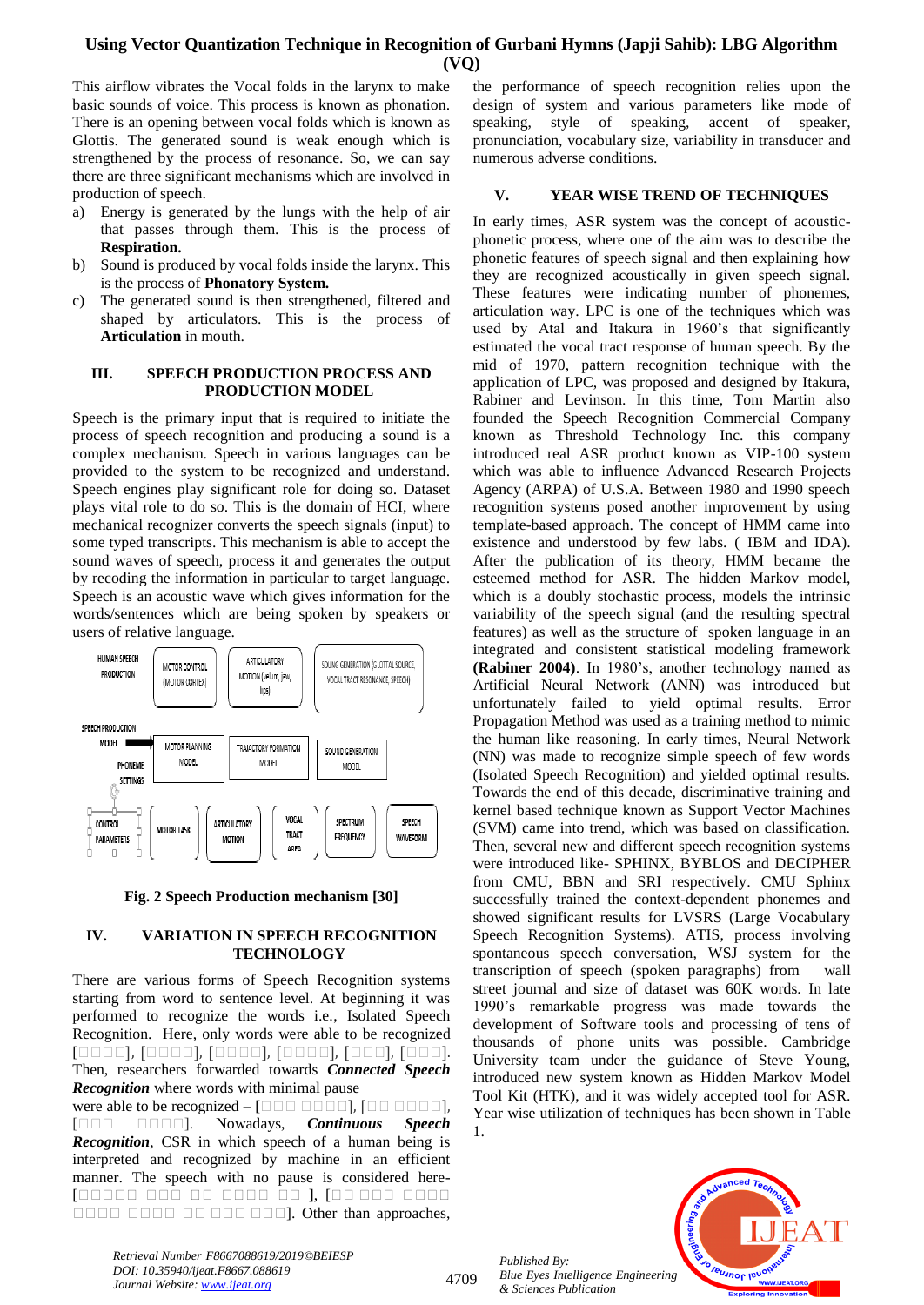This airflow vibrates the Vocal folds in the larynx to make basic sounds of voice. This process is known as phonation. There is an opening between vocal folds which is known as Glottis. The generated sound is weak enough which is strengthened by the process of resonance. So, we can say there are three significant mechanisms which are involved in production of speech.

- a) Energy is generated by the lungs with the help of air that passes through them. This is the process of **Respiration.**
- b) Sound is produced by vocal folds inside the larynx. This is the process of **Phonatory System.**
- c) The generated sound is then strengthened, filtered and shaped by articulators. This is the process of **Articulation** in mouth.

#### **III. SPEECH PRODUCTION PROCESS AND PRODUCTION MODEL**

Speech is the primary input that is required to initiate the process of speech recognition and producing a sound is a complex mechanism. Speech in various languages can be provided to the system to be recognized and understand. Speech engines play significant role for doing so. Dataset plays vital role to do so. This is the domain of HCI, where mechanical recognizer converts the speech signals (input) to some typed transcripts. This mechanism is able to accept the sound waves of speech, process it and generates the output by recoding the information in particular to target language. Speech is an acoustic wave which gives information for the words/sentences which are being spoken by speakers or users of relative language.



**Fig. 2 Speech Production mechanism [30]**

## **IV. VARIATION IN SPEECH RECOGNITION TECHNOLOGY**

There are various forms of Speech Recognition systems starting from word to sentence level. At beginning it was performed to recognize the words i.e., Isolated Speech Recognition. Here, only words were able to be recognized [0000], [0000], [0000], [0000], [000], [000]. Then, researchers forwarded towards *Connected Speech Recognition* where words with minimal pause

were able to be recognized  $-$  [ $\Box$  $\Box$  $\Box$  $\Box$  $\Box$ ], [ $\Box$  $\Box$  $\Box$  $\Box$ ], [ ]. Nowadays, *Continuous Speech Recognition*, CSR in which speech of a human being is interpreted and recognized by machine in an efficient manner. The speech with no pause is considered here- [00000 000 00 0000 00 **],** [00 000 0000 ]. Other than approaches, the performance of speech recognition relies upon the design of system and various parameters like mode of speaking, style of speaking, accent of speaker, pronunciation, vocabulary size, variability in transducer and numerous adverse conditions.

# **V. YEAR WISE TREND OF TECHNIQUES**

In early times, ASR system was the concept of acousticphonetic process, where one of the aim was to describe the phonetic features of speech signal and then explaining how they are recognized acoustically in given speech signal. These features were indicating number of phonemes, articulation way. LPC is one of the techniques which was used by Atal and Itakura in 1960's that significantly estimated the vocal tract response of human speech. By the mid of 1970, pattern recognition technique with the application of LPC, was proposed and designed by Itakura, Rabiner and Levinson. In this time, Tom Martin also founded the Speech Recognition Commercial Company known as Threshold Technology Inc. this company introduced real ASR product known as VIP-100 system which was able to influence Advanced Research Projects Agency (ARPA) of U.S.A. Between 1980 and 1990 speech recognition systems posed another improvement by using template-based approach. The concept of HMM came into existence and understood by few labs. ( IBM and IDA). After the publication of its theory, HMM became the esteemed method for ASR. The hidden Markov model, which is a doubly stochastic process, models the intrinsic variability of the speech signal (and the resulting spectral features) as well as the structure of spoken language in an integrated and consistent statistical modeling framework **(Rabiner 2004)**. In 1980's, another technology named as Artificial Neural Network (ANN) was introduced but unfortunately failed to yield optimal results. Error Propagation Method was used as a training method to mimic the human like reasoning. In early times, Neural Network (NN) was made to recognize simple speech of few words (Isolated Speech Recognition) and yielded optimal results. Towards the end of this decade, discriminative training and kernel based technique known as Support Vector Machines (SVM) came into trend, which was based on classification. Then, several new and different speech recognition systems were introduced like- SPHINX, BYBLOS and DECIPHER from CMU, BBN and SRI respectively. CMU Sphinx successfully trained the context-dependent phonemes and showed significant results for LVSRS (Large Vocabulary Speech Recognition Systems). ATIS, process involving spontaneous speech conversation, WSJ system for the transcription of speech (spoken paragraphs) from wall street journal and size of dataset was 60K words. In late 1990's remarkable progress was made towards the development of Software tools and processing of tens of thousands of phone units was possible. Cambridge University team under the guidance of Steve Young, introduced new system known as Hidden Markov Model Tool Kit (HTK), and it was widely accepted tool for ASR. Year wise utilization of techniques has been shown in Table 1.

*Published By: Blue Eyes Intelligence Engineering & Sciences Publication* 



*Retrieval Number F8667088619/2019©BEIESP DOI: 10.35940/ijeat.F8667.088619 Journal Website: www.ijeat.org*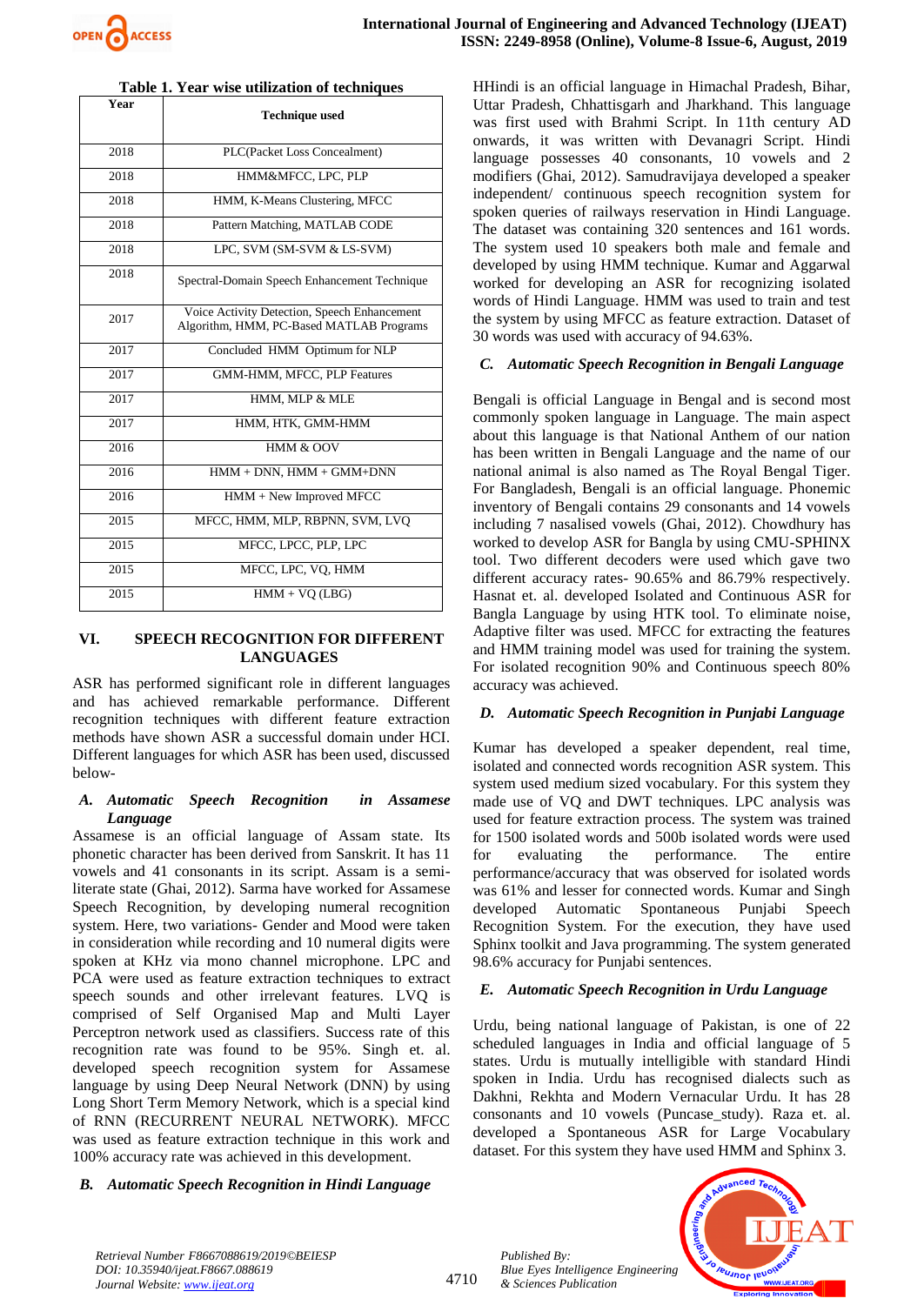

| Year              | <b>Technique used</b>                                                                    |  |  |  |  |  |
|-------------------|------------------------------------------------------------------------------------------|--|--|--|--|--|
| 2018              | PLC(Packet Loss Concealment)                                                             |  |  |  |  |  |
| 2018              | HMM&MFCC, LPC, PLP                                                                       |  |  |  |  |  |
| 2018              | HMM, K-Means Clustering, MFCC                                                            |  |  |  |  |  |
| 2018              | Pattern Matching, MATLAB CODE                                                            |  |  |  |  |  |
| 2018              | LPC, SVM (SM-SVM & LS-SVM)                                                               |  |  |  |  |  |
| 2018              | Spectral-Domain Speech Enhancement Technique                                             |  |  |  |  |  |
| 2017              | Voice Activity Detection, Speech Enhancement<br>Algorithm, HMM, PC-Based MATLAB Programs |  |  |  |  |  |
| 2017              | Concluded HMM Optimum for NLP                                                            |  |  |  |  |  |
| 2017              | GMM-HMM, MFCC, PLP Features                                                              |  |  |  |  |  |
| 2017              | HMM, MLP & MLE                                                                           |  |  |  |  |  |
| 2017              | HMM, HTK, GMM-HMM                                                                        |  |  |  |  |  |
| 2016              | HMM & OOV                                                                                |  |  |  |  |  |
| 2016              | $HMM + DNN$ , $HMM + GMM + DNN$                                                          |  |  |  |  |  |
| 2016              | HMM + New Improved MFCC                                                                  |  |  |  |  |  |
| $\overline{2015}$ | MFCC, HMM, MLP, RBPNN, SVM, LVO                                                          |  |  |  |  |  |
| 2015              | MFCC, LPCC, PLP, LPC                                                                     |  |  |  |  |  |
| 2015              | MFCC, LPC, VO, HMM                                                                       |  |  |  |  |  |
| 2015              | $HMM + VO (LBG)$                                                                         |  |  |  |  |  |

#### **Table 1. Year wise utilization of techniques**

#### **VI. SPEECH RECOGNITION FOR DIFFERENT LANGUAGES**

ASR has performed significant role in different languages and has achieved remarkable performance. Different recognition techniques with different feature extraction methods have shown ASR a successful domain under HCI. Different languages for which ASR has been used, discussed below-

#### *A. Automatic Speech Recognition in Assamese Language*

Assamese is an official language of Assam state. Its phonetic character has been derived from Sanskrit. It has 11 vowels and 41 consonants in its script. Assam is a semiliterate state (Ghai, 2012). Sarma have worked for Assamese Speech Recognition, by developing numeral recognition system. Here, two variations- Gender and Mood were taken in consideration while recording and 10 numeral digits were spoken at KHz via mono channel microphone. LPC and PCA were used as feature extraction techniques to extract speech sounds and other irrelevant features. LVQ is comprised of Self Organised Map and Multi Layer Perceptron network used as classifiers. Success rate of this recognition rate was found to be 95%. Singh et. al. developed speech recognition system for Assamese language by using Deep Neural Network (DNN) by using Long Short Term Memory Network, which is a special kind of RNN (RECURRENT NEURAL NETWORK). MFCC was used as feature extraction technique in this work and 100% accuracy rate was achieved in this development.

*B. Automatic Speech Recognition in Hindi Language*

HHindi is an official language in Himachal Pradesh, Bihar, Uttar Pradesh, Chhattisgarh and Jharkhand. This language was first used with Brahmi Script. In 11th century AD onwards, it was written with Devanagri Script. Hindi language possesses 40 consonants, 10 vowels and 2 modifiers (Ghai, 2012). Samudravijaya developed a speaker independent/ continuous speech recognition system for spoken queries of railways reservation in Hindi Language. The dataset was containing 320 sentences and 161 words. The system used 10 speakers both male and female and developed by using HMM technique. Kumar and Aggarwal worked for developing an ASR for recognizing isolated words of Hindi Language. HMM was used to train and test the system by using MFCC as feature extraction. Dataset of 30 words was used with accuracy of 94.63%.

#### *C. Automatic Speech Recognition in Bengali Language*

Bengali is official Language in Bengal and is second most commonly spoken language in Language. The main aspect about this language is that National Anthem of our nation has been written in Bengali Language and the name of our national animal is also named as The Royal Bengal Tiger. For Bangladesh, Bengali is an official language. Phonemic inventory of Bengali contains 29 consonants and 14 vowels including 7 nasalised vowels (Ghai, 2012). Chowdhury has worked to develop ASR for Bangla by using CMU-SPHINX tool. Two different decoders were used which gave two different accuracy rates- 90.65% and 86.79% respectively. Hasnat et. al. developed Isolated and Continuous ASR for Bangla Language by using HTK tool. To eliminate noise, Adaptive filter was used. MFCC for extracting the features and HMM training model was used for training the system. For isolated recognition 90% and Continuous speech 80% accuracy was achieved.

## *D. Automatic Speech Recognition in Punjabi Language*

Kumar has developed a speaker dependent, real time, isolated and connected words recognition ASR system. This system used medium sized vocabulary. For this system they made use of VQ and DWT techniques. LPC analysis was used for feature extraction process. The system was trained for 1500 isolated words and 500b isolated words were used for evaluating the performance. The entire performance/accuracy that was observed for isolated words was 61% and lesser for connected words. Kumar and Singh developed Automatic Spontaneous Punjabi Speech Recognition System. For the execution, they have used Sphinx toolkit and Java programming. The system generated 98.6% accuracy for Punjabi sentences.

#### *E. Automatic Speech Recognition in Urdu Language*

Urdu, being national language of Pakistan, is one of 22 scheduled languages in India and official language of 5 states. Urdu is mutually intelligible with standard Hindi spoken in India. Urdu has recognised dialects such as Dakhni, Rekhta and Modern Vernacular Urdu. It has 28 consonants and 10 vowels (Puncase\_study). Raza et. al. developed a Spontaneous ASR for Large Vocabulary dataset. For this system they have used HMM and Sphinx 3.



*Retrieval Number F8667088619/2019©BEIESP DOI: 10.35940/ijeat.F8667.088619 Journal Website: www.ijeat.org*

*Published By: Blue Eyes Intelligence Engineering & Sciences Publication*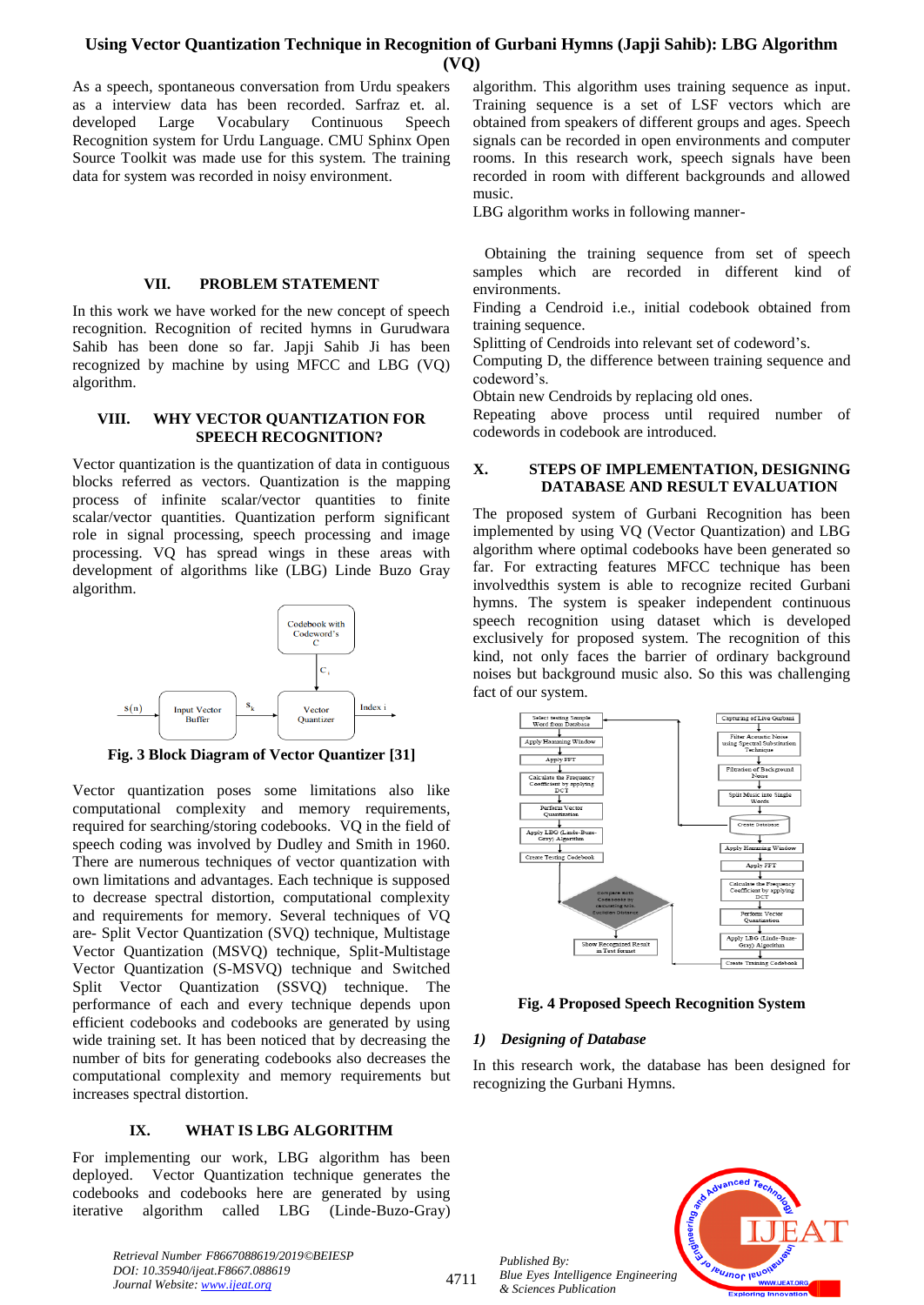As a speech, spontaneous conversation from Urdu speakers as a interview data has been recorded. Sarfraz et. al. developed Large Vocabulary Continuous Speech Recognition system for Urdu Language. CMU Sphinx Open Source Toolkit was made use for this system. The training data for system was recorded in noisy environment.

#### **VII. PROBLEM STATEMENT**

In this work we have worked for the new concept of speech recognition. Recognition of recited hymns in Gurudwara Sahib has been done so far. Japji Sahib Ji has been recognized by machine by using MFCC and LBG (VQ) algorithm.

## **VIII. WHY VECTOR QUANTIZATION FOR SPEECH RECOGNITION?**

Vector quantization is the quantization of data in contiguous blocks referred as vectors. Quantization is the mapping process of infinite scalar/vector quantities to finite scalar/vector quantities. Quantization perform significant role in signal processing, speech processing and image processing. VQ has spread wings in these areas with development of algorithms like (LBG) Linde Buzo Gray algorithm.



**Fig. 3 Block Diagram of Vector Quantizer [31]**

Vector quantization poses some limitations also like computational complexity and memory requirements, required for searching/storing codebooks. VQ in the field of speech coding was involved by Dudley and Smith in 1960. There are numerous techniques of vector quantization with own limitations and advantages. Each technique is supposed to decrease spectral distortion, computational complexity and requirements for memory. Several techniques of VQ are- Split Vector Quantization (SVQ) technique, Multistage Vector Quantization (MSVQ) technique, Split-Multistage Vector Quantization (S-MSVQ) technique and Switched Split Vector Quantization (SSVQ) technique. The performance of each and every technique depends upon efficient codebooks and codebooks are generated by using wide training set. It has been noticed that by decreasing the number of bits for generating codebooks also decreases the computational complexity and memory requirements but increases spectral distortion.

#### **IX. WHAT IS LBG ALGORITHM**

For implementing our work, LBG algorithm has been deployed. Vector Quantization technique generates the codebooks and codebooks here are generated by using iterative algorithm called LBG (Linde-Buzo-Gray) algorithm. This algorithm uses training sequence as input. Training sequence is a set of LSF vectors which are obtained from speakers of different groups and ages. Speech signals can be recorded in open environments and computer rooms. In this research work, speech signals have been recorded in room with different backgrounds and allowed music.

LBG algorithm works in following manner-

 Obtaining the training sequence from set of speech samples which are recorded in different kind of environments.

Finding a Cendroid i.e., initial codebook obtained from training sequence.

Splitting of Cendroids into relevant set of codeword's.

Computing D, the difference between training sequence and codeword's.

Obtain new Cendroids by replacing old ones.

Repeating above process until required number of codewords in codebook are introduced.

#### **X. STEPS OF IMPLEMENTATION, DESIGNING DATABASE AND RESULT EVALUATION**

The proposed system of Gurbani Recognition has been implemented by using VQ (Vector Quantization) and LBG algorithm where optimal codebooks have been generated so far. For extracting features MFCC technique has been involvedthis system is able to recognize recited Gurbani hymns. The system is speaker independent continuous speech recognition using dataset which is developed exclusively for proposed system. The recognition of this kind, not only faces the barrier of ordinary background noises but background music also. So this was challenging fact of our system.



## **Fig. 4 Proposed Speech Recognition System**

#### *1) Designing of Database*

*Published By:*

*& Sciences Publication* 

In this research work, the database has been designed for recognizing the Gurbani Hymns.



*Retrieval Number F8667088619/2019©BEIESP DOI: 10.35940/ijeat.F8667.088619 Journal Website: www.ijeat.org*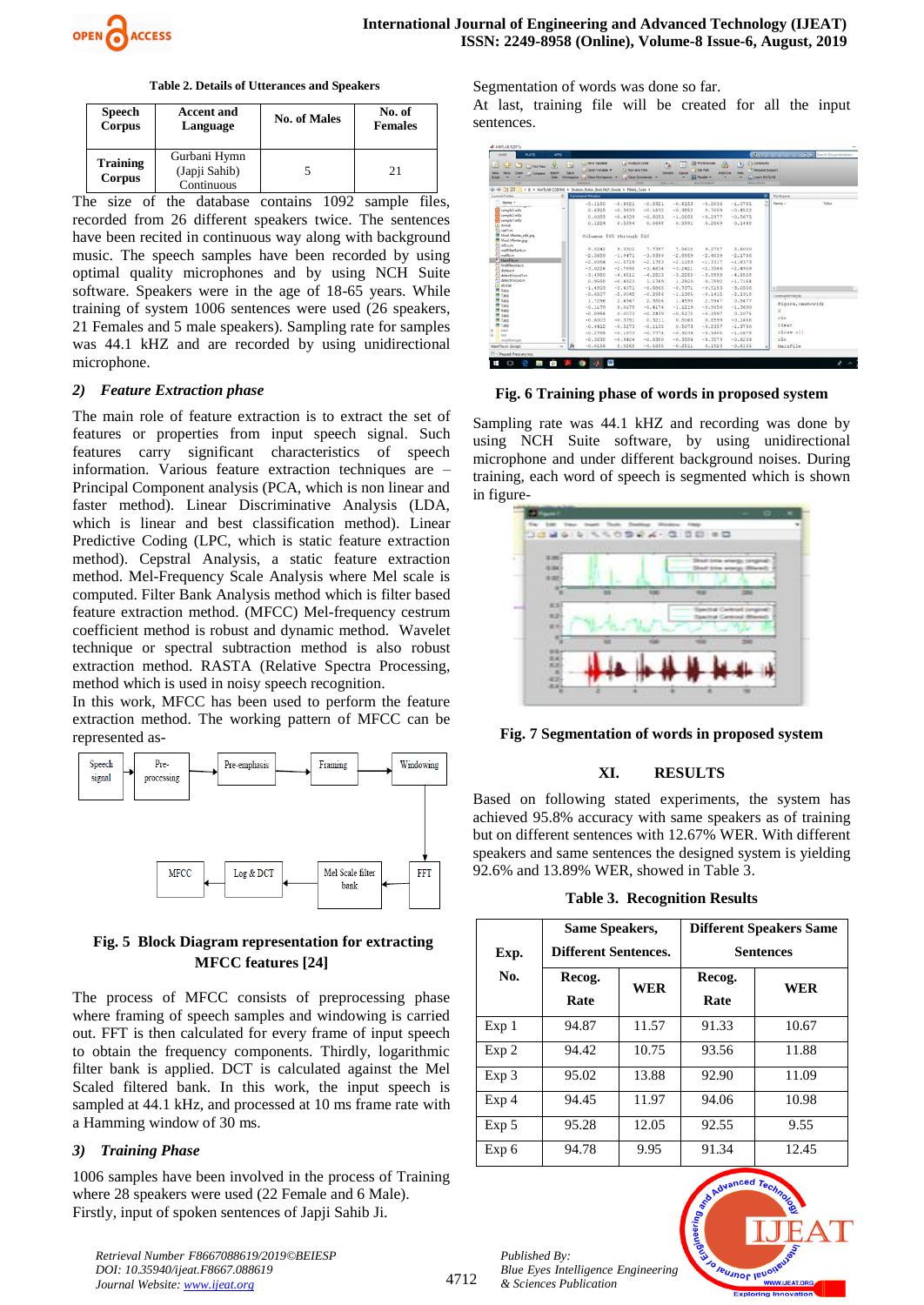

**Table 2. Details of Utterances and Speakers**

| Speech                    | <b>Accent and</b>                           | <b>No. of Males</b> | No. of         |  |
|---------------------------|---------------------------------------------|---------------------|----------------|--|
| Corpus                    | Language                                    |                     | <b>Females</b> |  |
| <b>Training</b><br>Corpus | Gurbani Hymn<br>(Japji Sahib)<br>Continuous |                     | 21             |  |

The size of the database contains 1092 sample files, recorded from 26 different speakers twice. The sentences have been recited in continuous way along with background music. The speech samples have been recorded by using optimal quality microphones and by using NCH Suite software. Speakers were in the age of 18-65 years. While training of system 1006 sentences were used (26 speakers, 21 Females and 5 male speakers). Sampling rate for samples was 44.1 kHZ and are recorded by using unidirectional microphone.

#### *2) Feature Extraction phase*

The main role of feature extraction is to extract the set of features or properties from input speech signal. Such features carry significant characteristics of speech information. Various feature extraction techniques are – Principal Component analysis (PCA, which is non linear and faster method). Linear Discriminative Analysis (LDA, which is linear and best classification method). Linear Predictive Coding (LPC, which is static feature extraction method). Cepstral Analysis, a static feature extraction method. Mel-Frequency Scale Analysis where Mel scale is computed. Filter Bank Analysis method which is filter based feature extraction method. (MFCC) Mel-frequency cestrum coefficient method is robust and dynamic method. Wavelet technique or spectral subtraction method is also robust extraction method. RASTA (Relative Spectra Processing, method which is used in noisy speech recognition.

In this work, MFCC has been used to perform the feature extraction method. The working pattern of MFCC can be represented as-



# **Fig. 5 Block Diagram representation for extracting MFCC features [24]**

The process of MFCC consists of preprocessing phase where framing of speech samples and windowing is carried out. FFT is then calculated for every frame of input speech to obtain the frequency components. Thirdly, logarithmic filter bank is applied. DCT is calculated against the Mel Scaled filtered bank. In this work, the input speech is sampled at 44.1 kHz, and processed at 10 ms frame rate with a Hamming window of 30 ms.

## *3) Training Phase*

1006 samples have been involved in the process of Training where 28 speakers were used (22 Female and 6 Male). Firstly, input of spoken sentences of Japji Sahib Ji.

*Retrieval Number F8667088619/2019©BEIESP DOI: 10.35940/ijeat.F8667.088619 Journal Website: www.ijeat.org*

Segmentation of words was done so far.

At last, training file will be created for all the input sentences.

| <b>COTHEFRE</b><br><b>New</b><br>Open<br><b>Company</b><br><b>Banker</b> | <b>Import</b><br><b>Cata</b> | ы<br>Save | <b>Dew Variable</b><br>1 - Open Varade . -<br>Visitagace : Cara Histagece >         | al Analyza Code<br><b>A.2 Run and Time</b> | <b>JOHN Commercial : *</b> | h<br><b>Simular</b><br>Layout | <b>IS Freterences</b><br>æ<br>Set Path<br>Add-One<br><b>Life Paradell +</b> | Fil Community<br>$\left( 2\right)$<br><sup>(b</sup> Request Support)<br><b>L. Lewis MATLAS</b><br>٠ |                   |
|--------------------------------------------------------------------------|------------------------------|-----------|-------------------------------------------------------------------------------------|--------------------------------------------|----------------------------|-------------------------------|-----------------------------------------------------------------------------|-----------------------------------------------------------------------------------------------------|-------------------|
| <b>ALK</b>                                                               |                              |           | <b>HANALE</b>                                                                       |                                            | <b>COLOR</b>               | <b>STELLING</b>               | <b>RIGHTSMAN</b>                                                            | RESOURCES.                                                                                          |                   |
| <b>++ BB</b><br>Current Folder                                           | $\alpha$                     |           | * E * MATLAB CODING * Shakshi Robin Bedi NLP Daviet * FINAL Code *<br>Command Wedow |                                            |                            |                               |                                                                             |                                                                                                     | ø<br>Workspace    |
| Name ~                                                                   |                              |           |                                                                                     |                                            |                            |                               |                                                                             |                                                                                                     |                   |
| announcement gentle                                                      |                              |           | $-0.1180$                                                                           | $-0.4821$                                  | $-0.8321$                  | $-0.6153$                     | $-0.2036$                                                                   | $-1.0785$                                                                                           | Name -<br>Value   |
| sampleSm4a                                                               |                              | $\lambda$ | 0.6315                                                                              | $-0.3633$                                  | $-0.1632$                  | $-0.3852$                     | 0.7009                                                                      | $-0.4522$                                                                                           |                   |
| sample? mAis<br>sample! mda                                              |                              |           | 0.0089                                                                              | $-0.4939$                                  | $-0.6053$                  | $-1.0058$                     | $-0.2977$                                                                   | $-0.5675$                                                                                           |                   |
| <b>H</b> it mat                                                          |                              |           | 0.1224                                                                              | 0.5894                                     | 0.8648                     | 0.5991                        | 0.2869                                                                      | 0.1448                                                                                              |                   |
| <sup>6</sup> Load Los<br>M Mool Mantar edit.jpg<br>M Mool Mantaripo      |                              |           | Columns 505 through 510                                                             |                                            |                            |                               |                                                                             |                                                                                                     |                   |
| 6) meter.m<br>mallibudiani m                                             |                              |           | 9.8242                                                                              | 9.3302                                     | 7,7397                     | 7.8610                        | 9.2787                                                                      | 8,6000                                                                                              |                   |
| meth.m                                                                   |                              |           | $-2.3659$                                                                           | $-1.9471$                                  | $-3.0380$                  | $-2.8959$                     | $-2.4039$                                                                   | $-2.1706$                                                                                           |                   |
| Abund da an                                                              |                              |           | $-2.0054$                                                                           | $-1.5719$                                  | $-2.1753$                  | $-2.1103$                     | $-1.3317$                                                                   | $-1.6373$                                                                                           |                   |
| <b>GAIMANIPA M</b>                                                       |                              |           | $-3.0226$                                                                           | $-2.7698$                                  | $-3.4634$                  | $-3.2421$                     | $-2.3546$                                                                   | $-2.4959$                                                                                           |                   |
| distaura<br>detectVoiced1.m                                              |                              |           | $-3.4950$                                                                           | $-4.4511$                                  | $-4.2213$                  | $-3.2255$                     | $-3,0959$                                                                   | $-4.9558$                                                                                           |                   |
| detectionced.m                                                           |                              |           | 0.9558                                                                              | $-0.4023$                                  | 1.1769                     | 1.2920                        | 0.7592                                                                      | $-1.7164$                                                                                           |                   |
| allunat                                                                  |                              |           | $-1.4803$                                                                           |                                            |                            |                               |                                                                             |                                                                                                     |                   |
| <b>MA</b> Alexa                                                          |                              |           |                                                                                     | $-3,4071$                                  | $-0.6865$                  | $-0,7371$                     | $-0.5183$                                                                   | $-3,0556$                                                                                           | KT.               |
| <b>M 7.698</b>                                                           |                              |           | $-0.6507$                                                                           | $-2,0045$                                  | $-0.2956$                  | $-1.1385$                     | $-0.1412$                                                                   | $-2.1318$                                                                                           | Command Hotory    |
| <b>M</b> 6.jpg<br><b>M</b> Sieg                                          |                              |           | 1.7296                                                                              | 2.4847                                     | 2.3806                     | 1,4598                        | 2.5947                                                                      | 0.5477                                                                                              | figure, imshow(d) |
| $M = 4.660$                                                              |                              |           | $-0.1179$                                                                           | 0.0179                                     | $-0.4174$                  | $-1.1219$                     | $-0.9050$                                                                   | $-1.3690$                                                                                           | $\overline{2}$    |
| $-2.09$                                                                  |                              |           | $-0.0956$                                                                           | 0.0073                                     | $-0.2439$                  | $-0.5172$                     | $-0.1997$                                                                   | 0.1075                                                                                              |                   |
| $M_{2,00}$                                                               |                              |           | $-0.6003$                                                                           | $-0.3791$                                  | 0.3211                     | 0.8068                        | 0.6599                                                                      | $-0.1466$                                                                                           | clc               |
| <sup>18</sup> 1.jpg                                                      |                              |           | $-0.4412$                                                                           | $-0.5273$                                  | $-0.1135$                  | 0.5073                        | $-0.2357$                                                                   | $-1.3790$                                                                                           | clear             |
| thain<br>test                                                            |                              |           | $-0.2799$                                                                           | $-0.1973$                                  | $-0.7774$                  | $-0.3039$                     | $-0.3405$                                                                   | $-1.0678$                                                                                           | close all         |
| regalizinggeg                                                            |                              |           | $-0.3638$                                                                           | $-0.9404$                                  | $-0.0380$                  | $-0.3504$                     | $-0.3579$                                                                   | $-0.6203$                                                                                           | eta1              |
| MainFile.m (Script)                                                      | $\hat{\phantom{a}}$          | Jπ        | $-0.6156$                                                                           | 0.0268                                     | $-0.5895$                  | $-0.2511$                     | 0.1923                                                                      | $-0.6155$                                                                                           | MainFile          |
| P - Paused: Press any key                                                |                              |           |                                                                                     |                                            |                            |                               |                                                                             |                                                                                                     |                   |

**Fig. 6 Training phase of words in proposed system**

Sampling rate was 44.1 kHZ and recording was done by using NCH Suite software, by using unidirectional microphone and under different background noises. During training, each word of speech is segmented which is shown in figure-



**Fig. 7 Segmentation of words in proposed system**

## **XI. RESULTS**

Based on following stated experiments, the system has achieved 95.8% accuracy with same speakers as of training but on different sentences with 12.67% WER. With different speakers and same sentences the designed system is yielding 92.6% and 13.89% WER, showed in Table 3.

**Table 3. Recognition Results**

| Exp.             | <b>Same Speakers,</b><br><b>Different Sentences.</b> |            | <b>Different Speakers Same</b><br><b>Sentences</b> |            |  |
|------------------|------------------------------------------------------|------------|----------------------------------------------------|------------|--|
| No.              | Recog.<br>Rate                                       | <b>WER</b> | Recog.<br>Rate                                     | <b>WER</b> |  |
| Exp <sub>1</sub> | 94.87                                                | 11.57      | 91.33                                              | 10.67      |  |
| Exp 2            | 94.42                                                | 10.75      | 93.56                                              | 11.88      |  |
| $Exp_3$          | 95.02                                                | 13.88      | 92.90                                              | 11.09      |  |
| Exp <sub>4</sub> | 94.45                                                | 11.97      | 94.06                                              | 10.98      |  |
| Exp 5            | 95.28                                                | 12.05      | 92.55                                              | 9.55       |  |
| Exp 6            | 94.78                                                | 9.95       | 91.34                                              | 12.45      |  |

*Published By: Blue Eyes Intelligence Engineering & Sciences Publication* 

4712